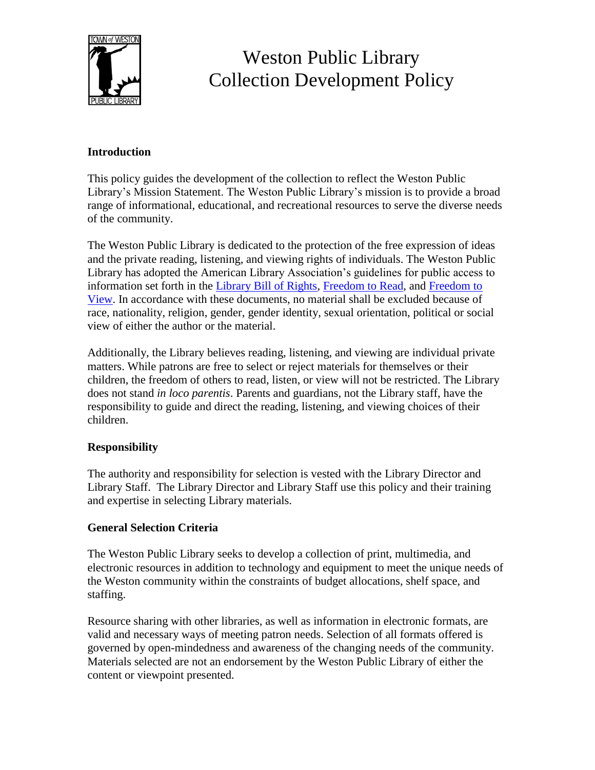

# Weston Public Library Collection Development Policy

## **Introduction**

This policy guides the development of the collection to reflect the Weston Public Library's Mission Statement. The Weston Public Library's mission is to provide a broad range of informational, educational, and recreational resources to serve the diverse needs of the community.

The Weston Public Library is dedicated to the protection of the free expression of ideas and the private reading, listening, and viewing rights of individuals. The Weston Public Library has adopted the American Library Association's guidelines for public access to information set forth in the [Library Bill of Rights,](https://www.ala.org/advocacy/intfreedom/librarybill) [Freedom to Read,](https://www.ala.org/advocacy/intfreedom/freedomreadstatement) and [Freedom to](https://www.ala.org/advocacy/intfreedom/freedomviewstatement)  [View.](https://www.ala.org/advocacy/intfreedom/freedomviewstatement) In accordance with these documents, no material shall be excluded because of race, nationality, religion, gender, gender identity, sexual orientation, political or social view of either the author or the material.

Additionally, the Library believes reading, listening, and viewing are individual private matters. While patrons are free to select or reject materials for themselves or their children, the freedom of others to read, listen, or view will not be restricted. The Library does not stand *in loco parentis*. Parents and guardians, not the Library staff, have the responsibility to guide and direct the reading, listening, and viewing choices of their children.

## **Responsibility**

The authority and responsibility for selection is vested with the Library Director and Library Staff. The Library Director and Library Staff use this policy and their training and expertise in selecting Library materials.

## **General Selection Criteria**

The Weston Public Library seeks to develop a collection of print, multimedia, and electronic resources in addition to technology and equipment to meet the unique needs of the Weston community within the constraints of budget allocations, shelf space, and staffing.

Resource sharing with other libraries, as well as information in electronic formats, are valid and necessary ways of meeting patron needs. Selection of all formats offered is governed by open-mindedness and awareness of the changing needs of the community. Materials selected are not an endorsement by the Weston Public Library of either the content or viewpoint presented.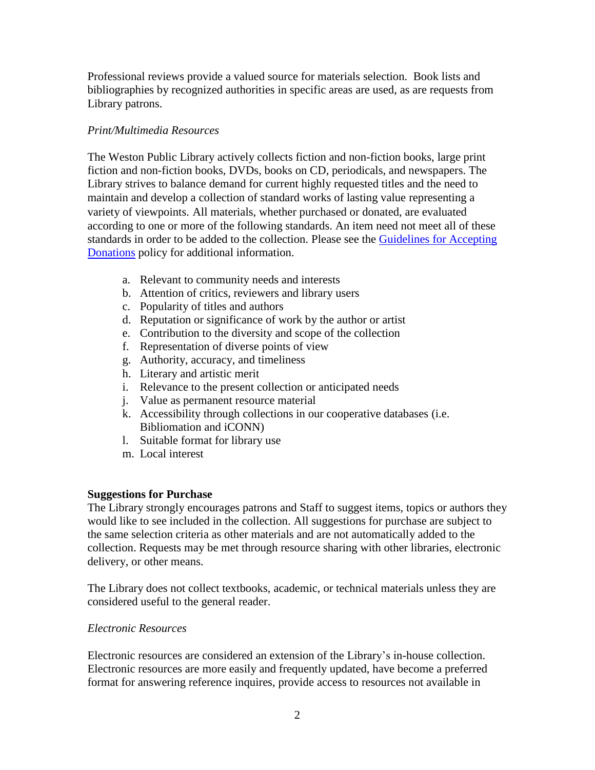Professional reviews provide a valued source for materials selection. Book lists and bibliographies by recognized authorities in specific areas are used, as are requests from Library patrons.

## *Print/Multimedia Resources*

The Weston Public Library actively collects fiction and non-fiction books, large print fiction and non-fiction books, DVDs, books on CD, periodicals, and newspapers. The Library strives to balance demand for current highly requested titles and the need to maintain and develop a collection of standard works of lasting value representing a variety of viewpoints. All materials, whether purchased or donated, are evaluated according to one or more of the following standards. An item need not meet all of these standards in order to be added to the collection. Please see the [Guidelines for Accepting](https://www.westonpubliclibrary.org/main/wp-content/uploads/Guidelines-for-accepting-donations-1.pdf)  [Donations](https://www.westonpubliclibrary.org/main/wp-content/uploads/Guidelines-for-accepting-donations-1.pdf) policy for additional information.

- a. Relevant to community needs and interests
- b. Attention of critics, reviewers and library users
- c. Popularity of titles and authors
- d. Reputation or significance of work by the author or artist
- e. Contribution to the diversity and scope of the collection
- f. Representation of diverse points of view
- g. Authority, accuracy, and timeliness
- h. Literary and artistic merit
- i. Relevance to the present collection or anticipated needs
- j. Value as permanent resource material
- k. Accessibility through collections in our cooperative databases (i.e. Bibliomation and iCONN)
- l. Suitable format for library use
- m. Local interest

## **Suggestions for Purchase**

The Library strongly encourages patrons and Staff to suggest items, topics or authors they would like to see included in the collection. All suggestions for purchase are subject to the same selection criteria as other materials and are not automatically added to the collection. Requests may be met through resource sharing with other libraries, electronic delivery, or other means.

The Library does not collect textbooks, academic, or technical materials unless they are considered useful to the general reader.

## *Electronic Resources*

Electronic resources are considered an extension of the Library's in-house collection. Electronic resources are more easily and frequently updated, have become a preferred format for answering reference inquires, provide access to resources not available in